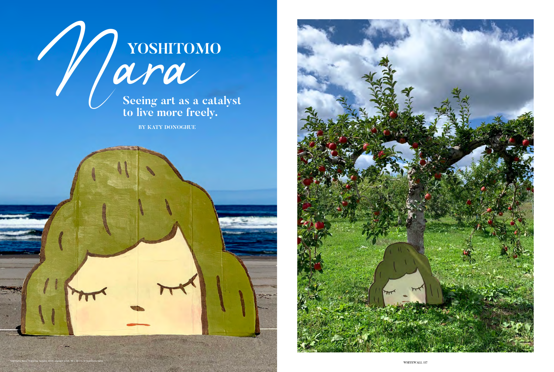





**Seeing art as a catalyst to live more freely.** 

**BY KATY DONOGHUE**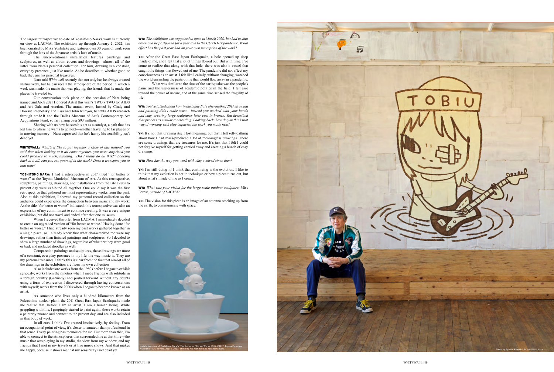The largest retrospective to date of Yoshitomo Nara's work is currently on view at LACMA. The exhibition, up through January 2, 2022, has been curated by Mika Yoshitake and features over 30 years of work seen through the lens of the Japanese artist's love of music.

The unconventional installation features paintings and sculptures, as well as album covers and drawings—almost all of the latter from Nara's personal collection. For him, drawing is a constant, everyday presence, just like music. As he describes it, whether good or bad, they are his personal treasures.

Nara told *Whitewall* recently that not only has he always created instinctively, but he can recall the atmosphere of the period in which a work was made, the music that was playing, the friends that he made, the places he traveled to.

Our conversation took place on the occasion of Nara being named amfAR's 2021 Honored Artist this year's TWO x TWO for AIDS and Art Gala and Auction. The annual event, hosted by Cindy and Howard Rachofsky and Lisa and John Runyon, benefits AIDS research through amfAR and the Dallas Museum of Art's Contemporary Art Acquisitions Fund, so far raising over \$93 million.

Sharing with us how he sees his art as a catalyst, a path that has led him to where he wants to go next—whether traveling to far places or in moving memory—Nara expressed that he's happy his sensibility isn't dead yet.

WhiteWall: *What's it like to put together a show of this nature? You said that when looking at it all come together, you were surprised you could produce so much, thinking, "Did I really do all this?" Looking back at it all, can you see yourself in the work? Does it transport you to that time?* 

YOSHITOMO NARA: I had a retrospective in 2017 titled "for better or worse" at the Toyota Municipal Museum of Art. At this retrospective, sculptures, paintings, drawings, and installations from the late 1980s to present day were exhibited all together. One could say it was the first retrospective that gathered my most representative works from the past. Also at this exhibition, I showed my personal record collection so the audience could experience the connection between music and my work. As the title "for better or worse" indicated, this retrospective was also an expression of my commitment to continue creating. It was a very unique exhibition, but did not travel and ended after that one museum.

When I received the offer from LACMA, I immediately decided to create an upgraded version of "for better or worse." Having done "for better or worse," I had already seen my past works gathered together in a single place, so I already knew that what characterized me were my drawings, rather than finished paintings and sculptures. So I decided to show a large number of drawings, regardless of whether they were good or bad, and included doodles as well.

Compared to paintings and sculptures, these drawings are more of a constant, everyday presence in my life, the way music is. They are my personal treasures. I think this is clear from the fact that almost all of the drawings in the exhibition are from my own collection.

Also included are works from the 1980s before I began to exhibit seriously; works from the nineties when I made friends with solitude in a foreign country (Germany) and pushed forward without any doubts using a form of expression I discovered through having conversations with myself; works from the 2000s when I began to become known as an artist.

As someone who lives only a hundred kilometers from the Fukushima nuclear plant, the 2011 Great East Japan Earthquake made me realize that, before I am an artist, I am a human being. While grappling with this, I gropingly started to paint again; these works retain a painterly nuance and connect to the present day, and are also included in this body of work.

In all eras, I think I've created instinctively, by feeling. From an occupational point of view, it's closer to amateur than professional in that sense. Every painting has memories for me. But more than that, I'm able to connect to the atmospheres that surrounded me at that time—the music that was playing in my studio, the view from my window, and my friends that I met in my travels or at live music shows. And that makes me happy, because it shows me that my sensibility isn't dead yet.

WW: *The exhibition was supposed to open in March 2020, but had to shut down and be postponed for a year due to the COVID-19 pandemic. What effect has the past year had on your own perception of the work?*

YN: After the Great East Japan Earthquake, a hole opened up deep inside of me, and I felt that a lot of things flowed out. But with time, I've come to realize that along with that hole, there was also a vessel that caught the things that flowed out of me. The pandemic did not affect my consciousness as an artist. I felt like I calmly, without changing, watched the world encircling the parts of me that would flow away in a pandemic.

What was similar to the time of the earthquake was the people's panic and the uselessness of academic politics in the field. I felt awe toward the power of nature, and at the same time sensed the fragility of life.

WW: *You've talked about how in the immediate aftermath of 2011, drawing and painting didn't make sense—instead you worked with your hands and clay, creating large sculptures later cast in bronze. You described that process as similar to wrestling. Looking back, how do you think that way of working with clay impacted the work you made next?*

YN: It's not that drawing itself lost meaning, but that I felt self-loathing about how I had mass-produced a lot of meaningless drawings. There are some drawings that are treasures for me. It's just that I felt I could not forgive myself for getting carried away and creating a bunch of easy drawings.

WW: *How has the way you work with clay evolved since then?*

YN: I'm still doing it! I think that continuing is the evolution. I like to think that my evolution is not in technique or how a piece turns out, but about what's inside of me as I create.

WW: *What was your vision for the large-scale outdoor sculpture,* Miss Forest*, outside of LACMA?*

YN: The vision for this piece is an image of an antenna reaching up from the earth, to communicate with space.